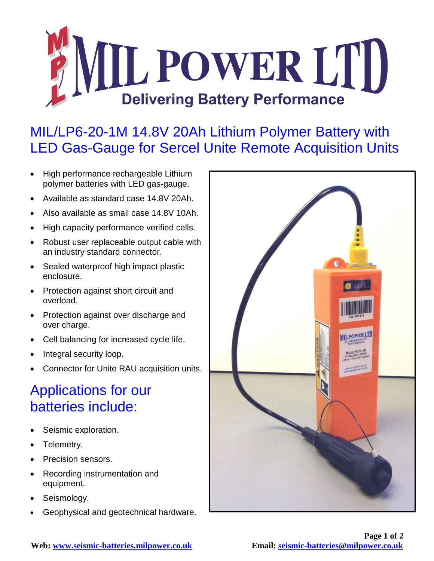

## MIL/LP6-20-1M 14.8V 20Ah Lithium Polymer Battery with LED Gas-Gauge for Sercel Unite Remote Acquisition Units

- High performance rechargeable Lithium polymer batteries with LED gas-gauge.
- Available as standard case 14.8V 20Ah.
- Also available as small case 14.8V 10Ah.
- High capacity performance verified cells.
- Robust user replaceable output cable with an industry standard connector.
- Sealed waterproof high impact plastic enclosure.
- Protection against short circuit and overload.
- Protection against over discharge and over charge.
- Cell balancing for increased cycle life.
- Integral security loop.
- Connector for Unite RAU acquisition units.

## Applications for our batteries include:

- Seismic exploration.
- Telemetry.
- Precision sensors.
- Recording instrumentation and equipment.
- Seismology.
- Geophysical and geotechnical hardware.